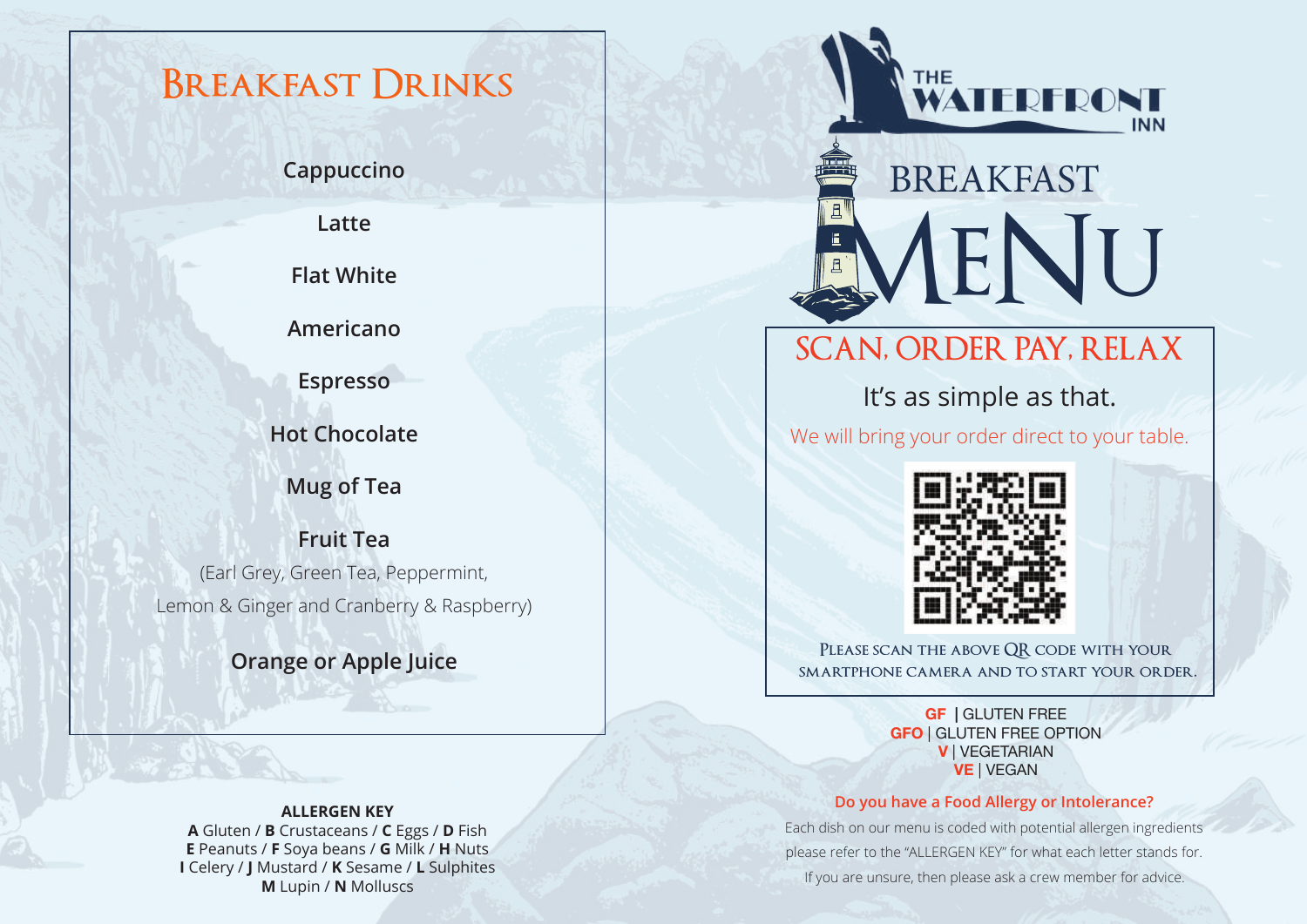# **Breakfast Drinks**

**Cappuccino** 

**Latte** 

**Flat White** 

**Americano**

**Espresso**

**Hot Chocolate**

**Mug of Tea** 

**Fruit Tea**  (Earl Grey, Green Tea, Peppermint, Lemon & Ginger and Cranberry & Raspberry)

**Orange or Apple Juice**

#### **ALLERGEN KEY**

**A** Gluten / **B** Crustaceans / **C** Eggs / **D** Fish **E** Peanuts / **F** Soya beans / **G** Milk / **H** Nuts **I** Celery / **J** Mustard / **K** Sesame / **L** Sulphites **M** Lupin / **N** Molluscs



# **IENU** BREAKFAST

## **SCAN, ORDER PAY, RELAX**

It's as simple as that.

We will bring your order direct to your table.



**Please scan the above QR code with your smartphone camera and to start your order.**

> **GF |** GLUTEN FREE **GFO** | GLUTEN FREE OPTION **V** | VEGETARIAN **VE** | VEGAN

#### **Do you have a Food Allergy or Intolerance?**

Each dish on our menu is coded with potential allergen ingredients please refer to the "ALLERGEN KEY" for what each letter stands for. If you are unsure, then please ask a crew member for advice.